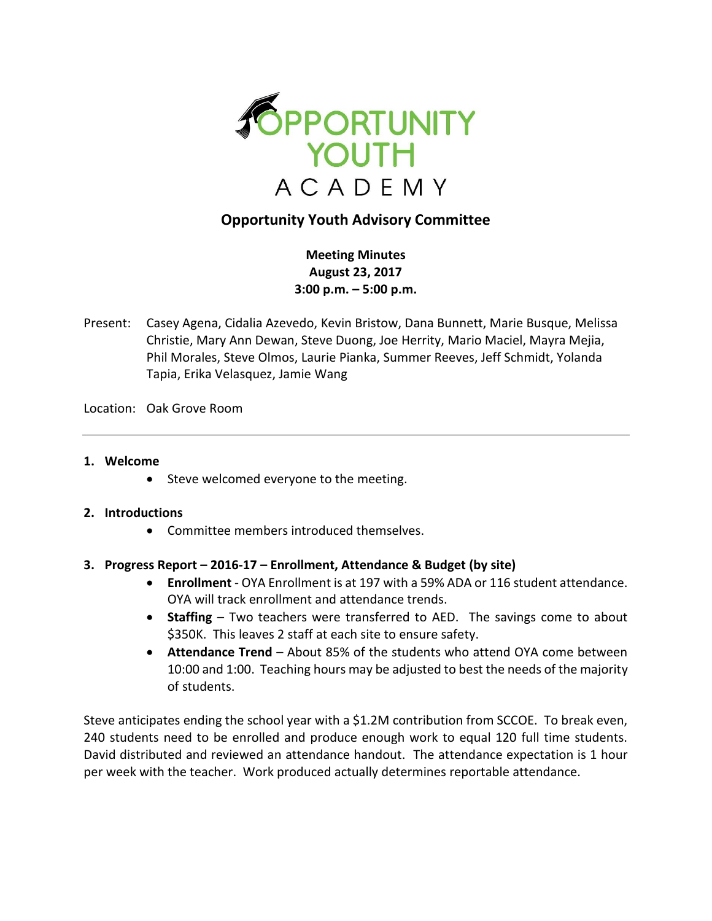

# **Opportunity Youth Advisory Committee**

**Meeting Minutes August 23, 2017 3:00 p.m. – 5:00 p.m.**

Present: Casey Agena, Cidalia Azevedo, Kevin Bristow, Dana Bunnett, Marie Busque, Melissa Christie, Mary Ann Dewan, Steve Duong, Joe Herrity, Mario Maciel, Mayra Mejia, Phil Morales, Steve Olmos, Laurie Pianka, Summer Reeves, Jeff Schmidt, Yolanda Tapia, Erika Velasquez, Jamie Wang

Location: Oak Grove Room

#### **1. Welcome**

• Steve welcomed everyone to the meeting.

#### **2. Introductions**

Committee members introduced themselves.

#### **3. Progress Report – 2016-17 – Enrollment, Attendance & Budget (by site)**

- **Enrollment** OYA Enrollment is at 197 with a 59% ADA or 116 student attendance. OYA will track enrollment and attendance trends.
- **Staffing** Two teachers were transferred to AED. The savings come to about \$350K. This leaves 2 staff at each site to ensure safety.
- **Attendance Trend**  About 85% of the students who attend OYA come between 10:00 and 1:00. Teaching hours may be adjusted to best the needs of the majority of students.

Steve anticipates ending the school year with a \$1.2M contribution from SCCOE. To break even, 240 students need to be enrolled and produce enough work to equal 120 full time students. David distributed and reviewed an attendance handout. The attendance expectation is 1 hour per week with the teacher. Work produced actually determines reportable attendance.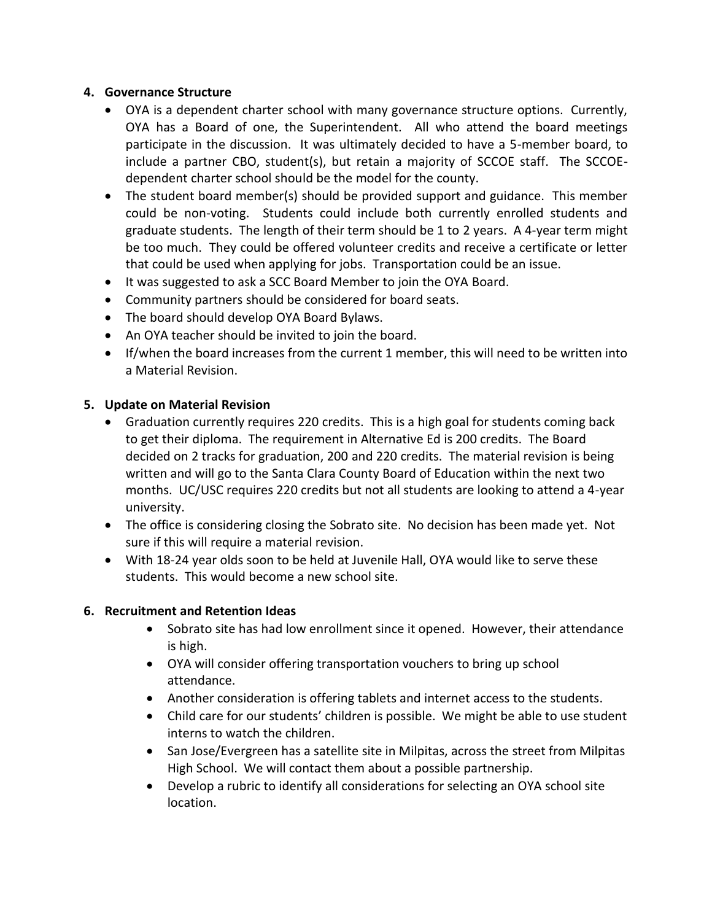### **4. Governance Structure**

- OYA is a dependent charter school with many governance structure options. Currently, OYA has a Board of one, the Superintendent. All who attend the board meetings participate in the discussion. It was ultimately decided to have a 5-member board, to include a partner CBO, student(s), but retain a majority of SCCOE staff. The SCCOEdependent charter school should be the model for the county.
- The student board member(s) should be provided support and guidance. This member could be non-voting. Students could include both currently enrolled students and graduate students. The length of their term should be 1 to 2 years. A 4-year term might be too much. They could be offered volunteer credits and receive a certificate or letter that could be used when applying for jobs. Transportation could be an issue.
- It was suggested to ask a SCC Board Member to join the OYA Board.
- Community partners should be considered for board seats.
- The board should develop OYA Board Bylaws.
- An OYA teacher should be invited to join the board.
- If/when the board increases from the current 1 member, this will need to be written into a Material Revision.

#### **5. Update on Material Revision**

- Graduation currently requires 220 credits. This is a high goal for students coming back to get their diploma. The requirement in Alternative Ed is 200 credits. The Board decided on 2 tracks for graduation, 200 and 220 credits. The material revision is being written and will go to the Santa Clara County Board of Education within the next two months. UC/USC requires 220 credits but not all students are looking to attend a 4-year university.
- The office is considering closing the Sobrato site. No decision has been made yet. Not sure if this will require a material revision.
- With 18-24 year olds soon to be held at Juvenile Hall, OYA would like to serve these students. This would become a new school site.

### **6. Recruitment and Retention Ideas**

- Sobrato site has had low enrollment since it opened. However, their attendance is high.
- OYA will consider offering transportation vouchers to bring up school attendance.
- Another consideration is offering tablets and internet access to the students.
- Child care for our students' children is possible. We might be able to use student interns to watch the children.
- San Jose/Evergreen has a satellite site in Milpitas, across the street from Milpitas High School. We will contact them about a possible partnership.
- Develop a rubric to identify all considerations for selecting an OYA school site location.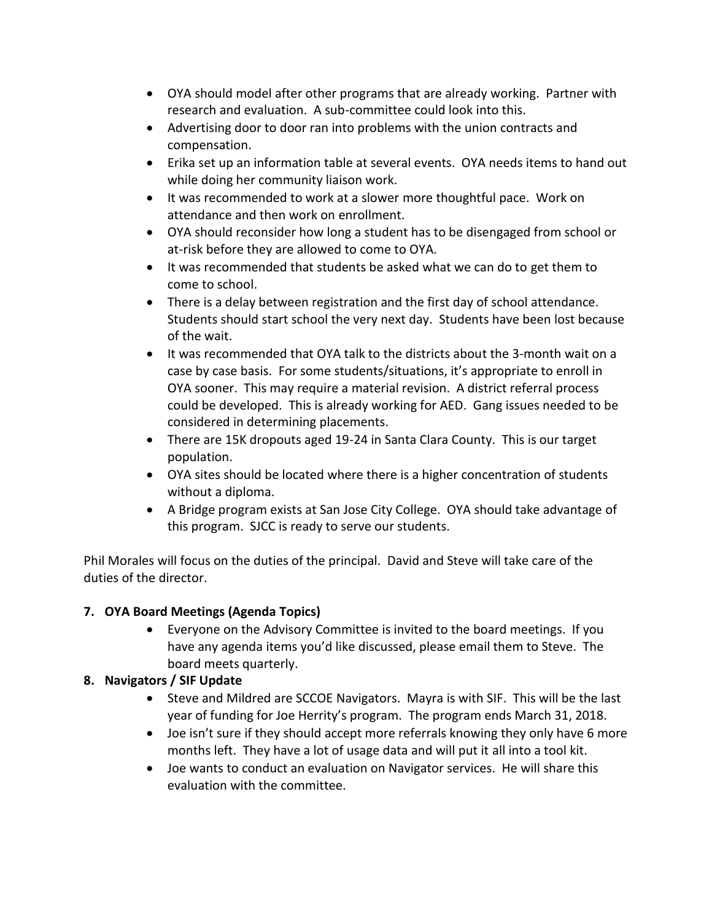- OYA should model after other programs that are already working. Partner with research and evaluation. A sub-committee could look into this.
- Advertising door to door ran into problems with the union contracts and compensation.
- Erika set up an information table at several events. OYA needs items to hand out while doing her community liaison work.
- It was recommended to work at a slower more thoughtful pace. Work on attendance and then work on enrollment.
- OYA should reconsider how long a student has to be disengaged from school or at-risk before they are allowed to come to OYA.
- It was recommended that students be asked what we can do to get them to come to school.
- There is a delay between registration and the first day of school attendance. Students should start school the very next day. Students have been lost because of the wait.
- It was recommended that OYA talk to the districts about the 3-month wait on a case by case basis. For some students/situations, it's appropriate to enroll in OYA sooner. This may require a material revision. A district referral process could be developed. This is already working for AED. Gang issues needed to be considered in determining placements.
- There are 15K dropouts aged 19-24 in Santa Clara County. This is our target population.
- OYA sites should be located where there is a higher concentration of students without a diploma.
- A Bridge program exists at San Jose City College. OYA should take advantage of this program. SJCC is ready to serve our students.

Phil Morales will focus on the duties of the principal. David and Steve will take care of the duties of the director.

# **7. OYA Board Meetings (Agenda Topics)**

 Everyone on the Advisory Committee is invited to the board meetings. If you have any agenda items you'd like discussed, please email them to Steve. The board meets quarterly.

# **8. Navigators / SIF Update**

- Steve and Mildred are SCCOE Navigators. Mayra is with SIF. This will be the last year of funding for Joe Herrity's program. The program ends March 31, 2018.
- Joe isn't sure if they should accept more referrals knowing they only have 6 more months left. They have a lot of usage data and will put it all into a tool kit.
- Joe wants to conduct an evaluation on Navigator services. He will share this evaluation with the committee.